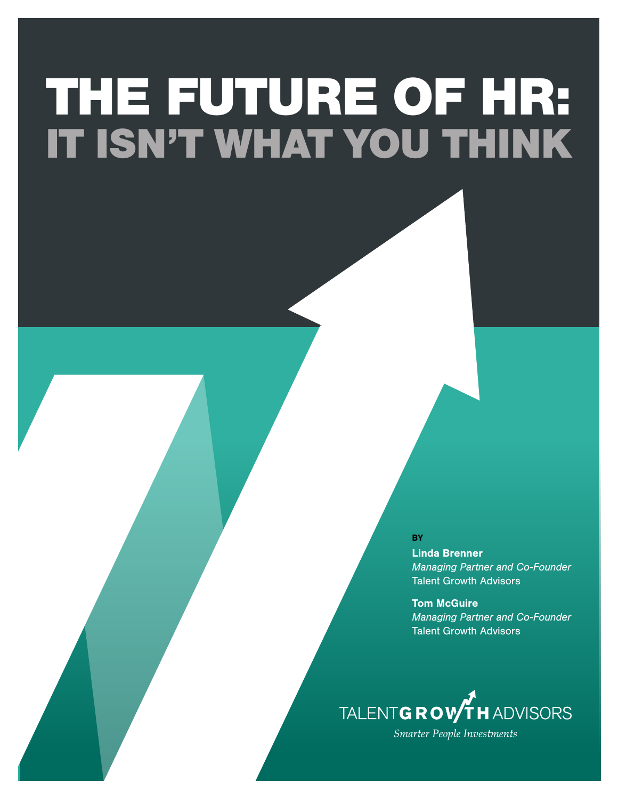# THE FUTURE OF HR: IT ISN'T WHAT YOU THINK

#### **BY**

Linda Brenner *Managing Partner and Co-Founder* Talent Growth Advisors

Tom McGuire *Managing Partner and Co-Founder* Talent Growth Advisors



**Smarter People Investments**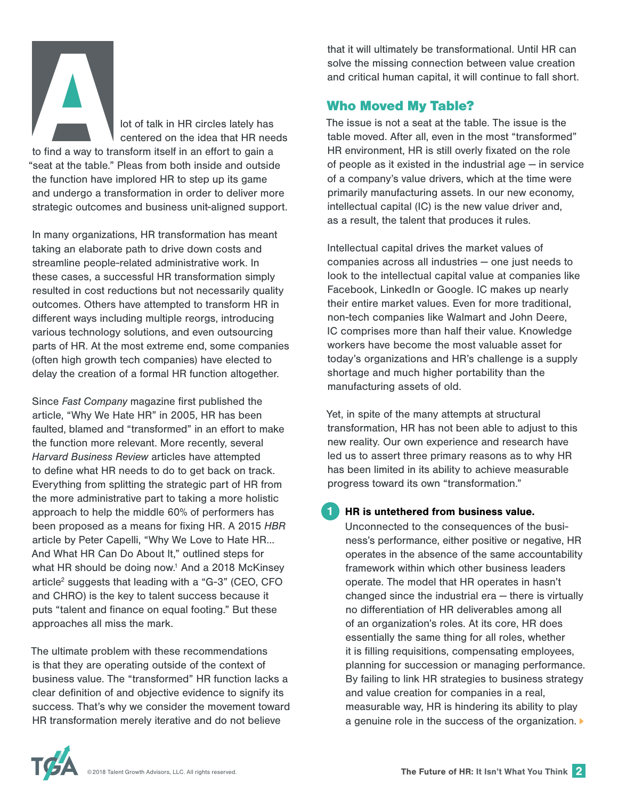lot of talk in HR circles lately has centered on the idea that HR needs

to find a way to transform itself in an effort to gain a "seat at the table." Pleas from both inside and outside the function have implored HR to step up its game and undergo a transformation in order to deliver more strategic outcomes and business unit-aligned support. to find a way to tring that the table."

In many organizations, HR transformation has meant taking an elaborate path to drive down costs and streamline people-related administrative work. In these cases, a successful HR transformation simply resulted in cost reductions but not necessarily quality outcomes. Others have attempted to transform HR in different ways including multiple reorgs, introducing various technology solutions, and even outsourcing parts of HR. At the most extreme end, some companies (often high growth tech companies) have elected to delay the creation of a formal HR function altogether.

Since *Fast Company* magazine first published the article, "Why We Hate HR" in 2005, HR has been faulted, blamed and "transformed" in an effort to make the function more relevant. More recently, several *Harvard Business Review* articles have attempted to define what HR needs to do to get back on track. Everything from splitting the strategic part of HR from the more administrative part to taking a more holistic approach to help the middle 60% of performers has been proposed as a means for fixing HR. A 2015 *HBR* article by Peter Capelli, "Why We Love to Hate HR… And What HR Can Do About It," outlined steps for what HR should be doing now.<sup>1</sup> And a 2018 McKinsey article<sup>2</sup> suggests that leading with a "G-3" (CEO, CFO and CHRO) is the key to talent success because it puts "talent and finance on equal footing." But these approaches all miss the mark.

The ultimate problem with these recommendations is that they are operating outside of the context of business value. The "transformed" HR function lacks a clear definition of and objective evidence to signify its success. That's why we consider the movement toward HR transformation merely iterative and do not believe

that it will ultimately be transformational. Until HR can solve the missing connection between value creation and critical human capital, it will continue to fall short.

## Who Moved My Table?

The issue is not a seat at the table. The issue is the table moved. After all, even in the most "transformed" HR environment, HR is still overly fixated on the role of people as it existed in the industrial age — in service of a company's value drivers, which at the time were primarily manufacturing assets. In our new economy, intellectual capital (IC) is the new value driver and, as a result, the talent that produces it rules.

Intellectual capital drives the market values of companies across all industries — one just needs to look to the intellectual capital value at companies like Facebook, LinkedIn or Google. IC makes up nearly their entire market values. Even for more traditional, non-tech companies like Walmart and John Deere, IC comprises more than half their value. Knowledge workers have become the most valuable asset for today's organizations and HR's challenge is a supply shortage and much higher portability than the manufacturing assets of old.

Yet, in spite of the many attempts at structural transformation, HR has not been able to adjust to this new reality. Our own experience and research have led us to assert three primary reasons as to why HR has been limited in its ability to achieve measurable progress toward its own "transformation."

#### HR is untethered from business value.

1

 Unconnected to the consequences of the business's performance, either positive or negative, HR operates in the absence of the same accountability framework within which other business leaders operate. The model that HR operates in hasn't changed since the industrial era — there is virtually no differentiation of HR deliverables among all of an organization's roles. At its core, HR does essentially the same thing for all roles, whether it is filling requisitions, compensating employees, planning for succession or managing performance. By failing to link HR strategies to business strategy and value creation for companies in a real, measurable way, HR is hindering its ability to play a genuine role in the success of the organization.

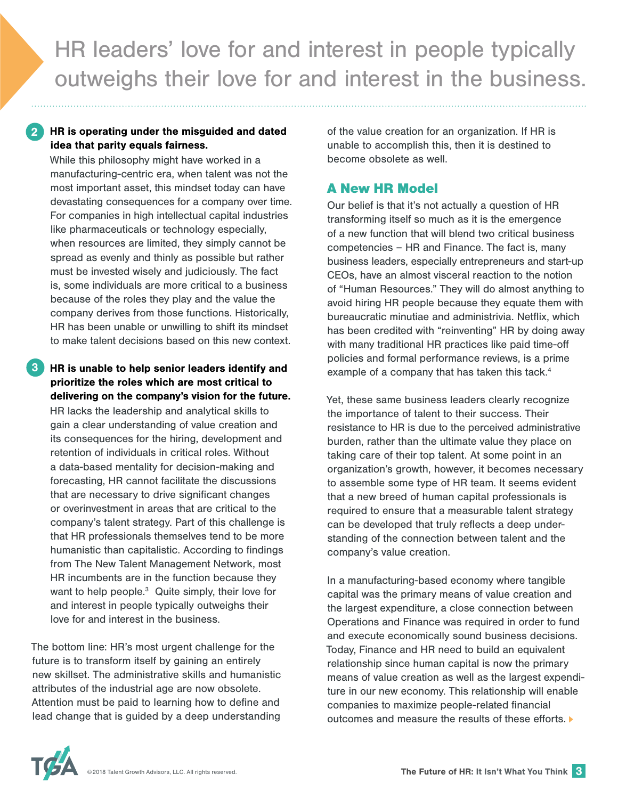# HR leaders' love for and interest in people typically outweighs their love for and interest in the business.

### HR is operating under the misguided and dated idea that parity equals fairness.

2

 While this philosophy might have worked in a manufacturing-centric era, when talent was not the most important asset, this mindset today can have devastating consequences for a company over time. For companies in high intellectual capital industries like pharmaceuticals or technology especially, when resources are limited, they simply cannot be spread as evenly and thinly as possible but rather must be invested wisely and judiciously. The fact is, some individuals are more critical to a business because of the roles they play and the value the company derives from those functions. Historically, HR has been unable or unwilling to shift its mindset to make talent decisions based on this new context.

#### **3** HR is unable to help senior leaders identify and prioritize the roles which are most critical to delivering on the company's vision for the future.

 HR lacks the leadership and analytical skills to gain a clear understanding of value creation and its consequences for the hiring, development and retention of individuals in critical roles. Without a data-based mentality for decision-making and forecasting, HR cannot facilitate the discussions that are necessary to drive significant changes or overinvestment in areas that are critical to the company's talent strategy. Part of this challenge is that HR professionals themselves tend to be more humanistic than capitalistic. According to findings from The New Talent Management Network, most HR incumbents are in the function because they want to help people.<sup>3</sup> Quite simply, their love for and interest in people typically outweighs their love for and interest in the business.

The bottom line: HR's most urgent challenge for the future is to transform itself by gaining an entirely new skillset. The administrative skills and humanistic attributes of the industrial age are now obsolete. Attention must be paid to learning how to define and lead change that is guided by a deep understanding

of the value creation for an organization. If HR is unable to accomplish this, then it is destined to become obsolete as well.

# A New HR Model

Our belief is that it's not actually a question of HR transforming itself so much as it is the emergence of a new function that will blend two critical business competencies – HR and Finance. The fact is, many business leaders, especially entrepreneurs and start-up CEOs, have an almost visceral reaction to the notion of "Human Resources." They will do almost anything to avoid hiring HR people because they equate them with bureaucratic minutiae and administrivia. Netflix, which has been credited with "reinventing" HR by doing away with many traditional HR practices like paid time-off policies and formal performance reviews, is a prime example of a company that has taken this tack.<sup>4</sup>

Yet, these same business leaders clearly recognize the importance of talent to their success. Their resistance to HR is due to the perceived administrative burden, rather than the ultimate value they place on taking care of their top talent. At some point in an organization's growth, however, it becomes necessary to assemble some type of HR team. It seems evident that a new breed of human capital professionals is required to ensure that a measurable talent strategy can be developed that truly reflects a deep understanding of the connection between talent and the company's value creation.

In a manufacturing-based economy where tangible capital was the primary means of value creation and the largest expenditure, a close connection between Operations and Finance was required in order to fund and execute economically sound business decisions. Today, Finance and HR need to build an equivalent relationship since human capital is now the primary means of value creation as well as the largest expenditure in our new economy. This relationship will enable companies to maximize people-related financial outcomes and measure the results of these efforts.

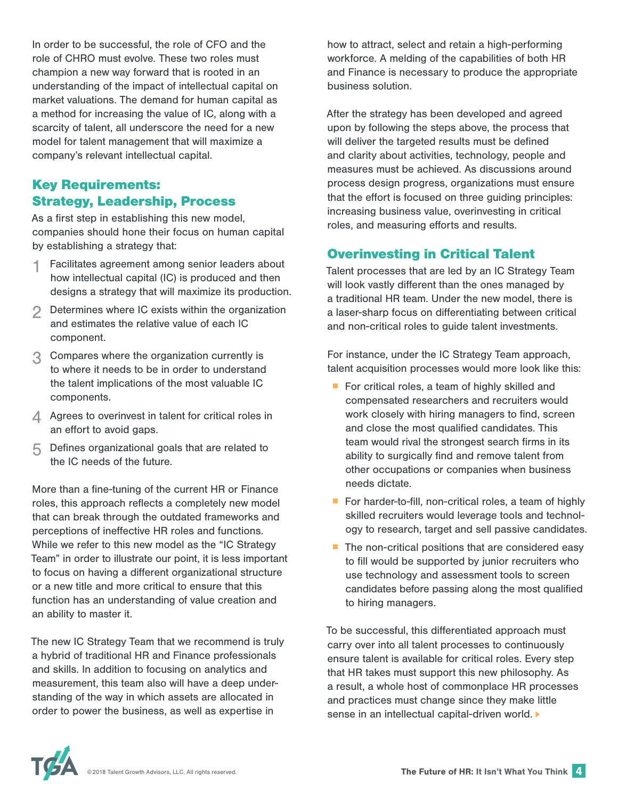In order to be successful, the role of CFO and the role of CHRO must evolve. These two roles must champion a new way forward that is rooted in an understanding of the impact of intellectual capital on market valuations. The demand for human capital as a method for increasing the value of IC, along with a scarcity of talent, all underscore the need for a new model for talent management that will maximize a company's relevant intellectual capital.

# Key Requirements: Strategy, Leadership, Process

As a first step in establishing this new model, companies should hone their focus on human capital by establishing a strategy that:

- Facilitates agreement among senior leaders about how intellectual capital (IC) is produced and then designs a strategy that will maximize its production. 1
- 2 Determines where IC exists within the organization and estimates the relative value of each IC component.
- 3 Compares where the organization currently is to where it needs to be in order to understand the talent implications of the most valuable IC components.
- 4 Agrees to overinvest in talent for critical roles in an effort to avoid gaps.
- 5 Defines organizational goals that are related to the IC needs of the future.

More than a fine-tuning of the current HR or Finance roles, this approach reflects a completely new model that can break through the outdated frameworks and perceptions of ineffective HR roles and functions. While we refer to this new model as the "IC Strategy Team" in order to illustrate our point, it is less important to focus on having a different organizational structure or a new title and more critical to ensure that this function has an understanding of value creation and an ability to master it.

The new IC Strategy Team that we recommend is truly a hybrid of traditional HR and Finance professionals and skills. In addition to focusing on analytics and measurement, this team also will have a deep understanding of the way in which assets are allocated in order to power the business, as well as expertise in

how to attract, select and retain a high-performing workforce. A melding of the capabilities of both HR and Finance is necessary to produce the appropriate business solution.

After the strategy has been developed and agreed upon by following the steps above, the process that will deliver the targeted results must be defined and clarity about activities, technology, people and measures must be achieved. As discussions around process design progress, organizations must ensure that the effort is focused on three guiding principles: increasing business value, overinvesting in critical roles, and measuring efforts and results.

# Overinvesting in Critical Talent

Talent processes that are led by an IC Strategy Team will look vastly different than the ones managed by a traditional HR team. Under the new model, there is a laser-sharp focus on differentiating between critical and non-critical roles to guide talent investments.

For instance, under the IC Strategy Team approach, talent acquisition processes would more look like this:

- For critical roles, a team of highly skilled and compensated researchers and recruiters would work closely with hiring managers to find, screen and close the most qualified candidates. This team would rival the strongest search firms in its ability to surgically find and remove talent from other occupations or companies when business needs dictate.
- For harder-to-fill, non-critical roles, a team of highly skilled recruiters would leverage tools and technology to research, target and sell passive candidates.
- $\blacksquare$  The non-critical positions that are considered easy to fill would be supported by junior recruiters who use technology and assessment tools to screen candidates before passing along the most qualified to hiring managers.

To be successful, this differentiated approach must carry over into all talent processes to continuously ensure talent is available for critical roles. Every step that HR takes must support this new philosophy. As a result, a whole host of commonplace HR processes and practices must change since they make little sense in an intellectual capital-driven world.

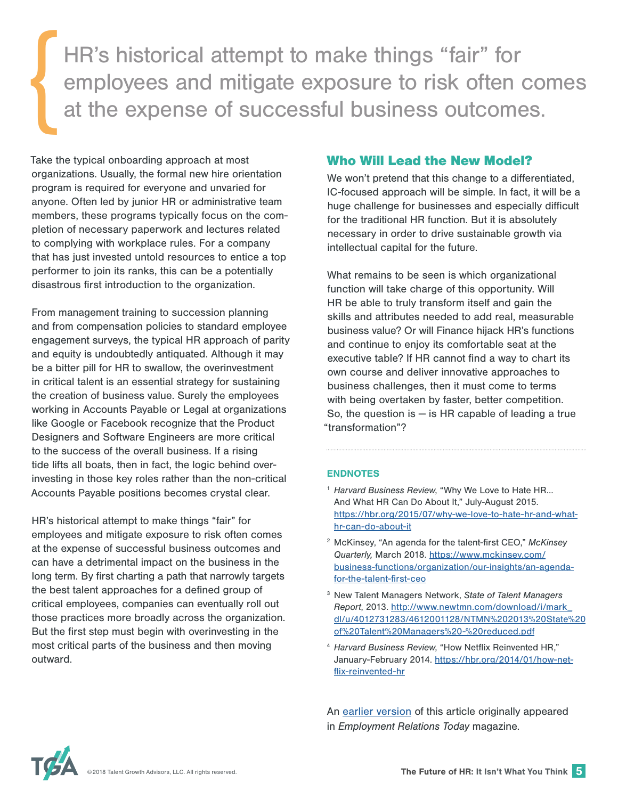$\left\{ \begin{array}{c} \mathsf{H} \\ \mathsf{H} \\ \mathsf{H} \end{array} \right.$ HR's historical attempt to make things "fair" for employees and mitigate exposure to risk often comes at the expense of successful business outcomes.

Take the typical onboarding approach at most organizations. Usually, the formal new hire orientation program is required for everyone and unvaried for anyone. Often led by junior HR or administrative team members, these programs typically focus on the completion of necessary paperwork and lectures related to complying with workplace rules. For a company that has just invested untold resources to entice a top performer to join its ranks, this can be a potentially disastrous first introduction to the organization.

From management training to succession planning and from compensation policies to standard employee engagement surveys, the typical HR approach of parity and equity is undoubtedly antiquated. Although it may be a bitter pill for HR to swallow, the overinvestment in critical talent is an essential strategy for sustaining the creation of business value. Surely the employees working in Accounts Payable or Legal at organizations like Google or Facebook recognize that the Product Designers and Software Engineers are more critical to the success of the overall business. If a rising tide lifts all boats, then in fact, the logic behind overinvesting in those key roles rather than the non-critical Accounts Payable positions becomes crystal clear.

HR's historical attempt to make things "fair" for employees and mitigate exposure to risk often comes at the expense of successful business outcomes and can have a detrimental impact on the business in the long term. By first charting a path that narrowly targets the best talent approaches for a defined group of critical employees, companies can eventually roll out those practices more broadly across the organization. But the first step must begin with overinvesting in the most critical parts of the business and then moving outward.

# Who Will Lead the New Model?

We won't pretend that this change to a differentiated, IC-focused approach will be simple. In fact, it will be a huge challenge for businesses and especially difficult for the traditional HR function. But it is absolutely necessary in order to drive sustainable growth via intellectual capital for the future.

What remains to be seen is which organizational function will take charge of this opportunity. Will HR be able to truly transform itself and gain the skills and attributes needed to add real, measurable business value? Or will Finance hijack HR's functions and continue to enjoy its comfortable seat at the executive table? If HR cannot find a way to chart its own course and deliver innovative approaches to business challenges, then it must come to terms with being overtaken by faster, better competition. So, the question is  $-$  is HR capable of leading a true "transformation"?

#### ENDNOTES

- 1 *Harvard Business Review*, "Why We Love to Hate HR… And What HR Can Do About It," July-August 2015. [https://hbr.org/2015/07/why-we-love-to-hate-hr-and-what](https://hbr.org/2015/07/why-we-love-to-hate-hr-and-what-hr-can-do-about-it)[hr-can-do-about-it](https://hbr.org/2015/07/why-we-love-to-hate-hr-and-what-hr-can-do-about-it)
- 2 McKinsey, "An agenda for the talent-first CEO," *McKinsey Quarterly,* March 2018. [https://www.mckinsey.com/](https://www.mckinsey.com/business-functions/organization/our-insights/an-agenda-for-the-talent-first-ceo) [business-functions/organization/our-insights/an-agenda](https://www.mckinsey.com/business-functions/organization/our-insights/an-agenda-for-the-talent-first-ceo)[for-the-talent-first-ceo](https://www.mckinsey.com/business-functions/organization/our-insights/an-agenda-for-the-talent-first-ceo)
- 3 New Talent Managers Network, *State of Talent Managers Report*, 2013. [http://www.newtmn.com/download/i/mark\\_](http://www.newtmn.com/download/i/mark_dl/u/4012731283/4612001128/NTMN%202013%20State%20of%20Talent%20Managers%20-%20reduced.pdf) [dl/u/4012731283/4612001128/NTMN%202013%20State%20](http://www.newtmn.com/download/i/mark_dl/u/4012731283/4612001128/NTMN%202013%20State%20of%20Talent%20Managers%20-%20reduced.pdf) [of%20Talent%20Managers%20-%20reduced.pdf](http://www.newtmn.com/download/i/mark_dl/u/4012731283/4612001128/NTMN%202013%20State%20of%20Talent%20Managers%20-%20reduced.pdf)
- 4 *Harvard Business Review*, "How Netflix Reinvented HR," January-February 2014. [https://hbr.org/2014/01/how-net](https://hbr.org/2014/01/how-netflix-reinvented-hr)[flix-reinvented-hr](https://hbr.org/2014/01/how-netflix-reinvented-hr)

An [earlier version](https://talentgrowthadvisors.com/images/uploads/The_Future_of_HR_Not_What_You_Think.pdf) of this article originally appeared in *Employment Relations Today* magazine.